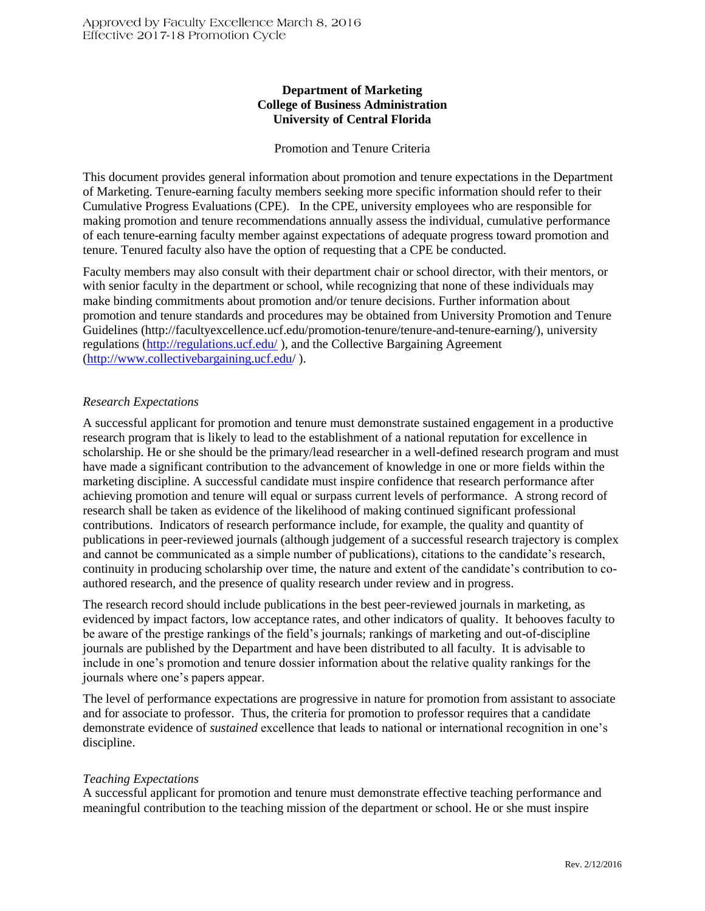# **Department of Marketing College of Business Administration University of Central Florida**

#### Promotion and Tenure Criteria

This document provides general information about promotion and tenure expectations in the Department of Marketing. Tenure-earning faculty members seeking more specific information should refer to their Cumulative Progress Evaluations (CPE). In the CPE, university employees who are responsible for making promotion and tenure recommendations annually assess the individual, cumulative performance of each tenure-earning faculty member against expectations of adequate progress toward promotion and tenure. Tenured faculty also have the option of requesting that a CPE be conducted.

Faculty members may also consult with their department chair or school director, with their mentors, or with senior faculty in the department or school, while recognizing that none of these individuals may make binding commitments about promotion and/or tenure decisions. Further information about promotion and tenure standards and procedures may be obtained from University Promotion and Tenure Guidelines (http://facultyexcellence.ucf.edu/promotion-tenure/tenure-and-tenure-earning/), university regulations [\(http://regulations.ucf.edu/](http://regulations.ucf.edu/) ), and the Collective Bargaining Agreement [\(http://www.collectivebargaining.ucf.edu/](http://www.collectivebargaining.ucf.edu/) ).

# *Research Expectations*

A successful applicant for promotion and tenure must demonstrate sustained engagement in a productive research program that is likely to lead to the establishment of a national reputation for excellence in scholarship. He or she should be the primary/lead researcher in a well-defined research program and must have made a significant contribution to the advancement of knowledge in one or more fields within the marketing discipline. A successful candidate must inspire confidence that research performance after achieving promotion and tenure will equal or surpass current levels of performance. A strong record of research shall be taken as evidence of the likelihood of making continued significant professional contributions. Indicators of research performance include, for example, the quality and quantity of publications in peer-reviewed journals (although judgement of a successful research trajectory is complex and cannot be communicated as a simple number of publications), citations to the candidate's research, continuity in producing scholarship over time, the nature and extent of the candidate's contribution to coauthored research, and the presence of quality research under review and in progress.

The research record should include publications in the best peer-reviewed journals in marketing, as evidenced by impact factors, low acceptance rates, and other indicators of quality. It behooves faculty to be aware of the prestige rankings of the field's journals; rankings of marketing and out-of-discipline journals are published by the Department and have been distributed to all faculty. It is advisable to include in one's promotion and tenure dossier information about the relative quality rankings for the journals where one's papers appear.

The level of performance expectations are progressive in nature for promotion from assistant to associate and for associate to professor. Thus, the criteria for promotion to professor requires that a candidate demonstrate evidence of *sustained* excellence that leads to national or international recognition in one's discipline.

#### *Teaching Expectations*

A successful applicant for promotion and tenure must demonstrate effective teaching performance and meaningful contribution to the teaching mission of the department or school. He or she must inspire